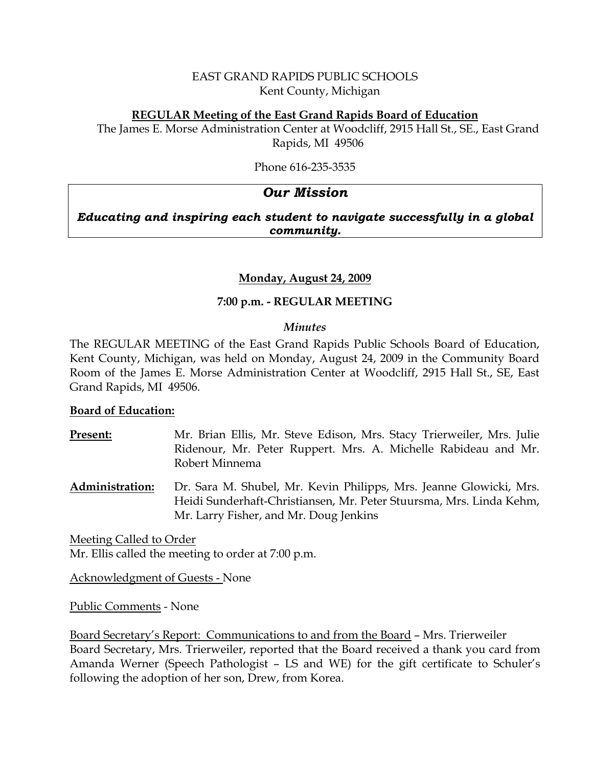## EAST GRAND RAPIDS PUBLIC SCHOOLS Kent County, Michigan

#### **REGULAR Meeting of the East Grand Rapids Board of Education**

The James E. Morse Administration Center at Woodcliff, 2915 Hall St., SE., East Grand Rapids, MI 49506

Phone 616-235-3535

# *Our Mission*

*Educating and inspiring each student to navigate successfully in a global community.*

#### **Monday, August 24, 2009**

## **7:00 p.m. - REGULAR MEETING**

#### *Minutes*

The REGULAR MEETING of the East Grand Rapids Public Schools Board of Education, Kent County, Michigan, was held on Monday, August 24, 2009 in the Community Board Room of the James E. Morse Administration Center at Woodcliff, 2915 Hall St., SE, East Grand Rapids, MI 49506.

#### **Board of Education:**

- **Present:** Mr. Brian Ellis, Mr. Steve Edison, Mrs. Stacy Trierweiler, Mrs. Julie Ridenour, Mr. Peter Ruppert. Mrs. A. Michelle Rabideau and Mr. Robert Minnema
- **Administration:** Dr. Sara M. Shubel, Mr. Kevin Philipps, Mrs. Jeanne Glowicki, Mrs. Heidi Sunderhaft-Christiansen, Mr. Peter Stuursma, Mrs. Linda Kehm, Mr. Larry Fisher, and Mr. Doug Jenkins

Meeting Called to Order Mr. Ellis called the meeting to order at 7:00 p.m.

Acknowledgment of Guests - None

Public Comments - None

Board Secretary's Report: Communications to and from the Board – Mrs. Trierweiler Board Secretary, Mrs. Trierweiler, reported that the Board received a thank you card from Amanda Werner (Speech Pathologist – LS and WE) for the gift certificate to Schuler's following the adoption of her son, Drew, from Korea.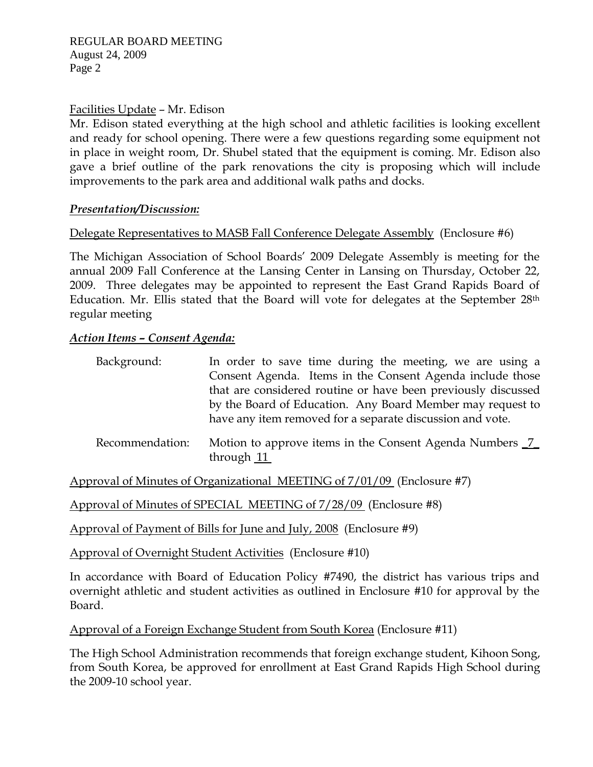## Facilities Update – Mr. Edison

Mr. Edison stated everything at the high school and athletic facilities is looking excellent and ready for school opening. There were a few questions regarding some equipment not in place in weight room, Dr. Shubel stated that the equipment is coming. Mr. Edison also gave a brief outline of the park renovations the city is proposing which will include improvements to the park area and additional walk paths and docks.

## *Presentation/Discussion:*

## Delegate Representatives to MASB Fall Conference Delegate Assembly (Enclosure #6)

The Michigan Association of School Boards' 2009 Delegate Assembly is meeting for the annual 2009 Fall Conference at the Lansing Center in Lansing on Thursday, October 22, 2009. Three delegates may be appointed to represent the East Grand Rapids Board of Education. Mr. Ellis stated that the Board will vote for delegates at the September 28<sup>th</sup> regular meeting

## *Action Items – Consent Agenda:*

| Background:     | In order to save time during the meeting, we are using a<br>Consent Agenda. Items in the Consent Agenda include those<br>that are considered routine or have been previously discussed<br>by the Board of Education. Any Board Member may request to<br>have any item removed for a separate discussion and vote. |
|-----------------|-------------------------------------------------------------------------------------------------------------------------------------------------------------------------------------------------------------------------------------------------------------------------------------------------------------------|
| Recommendation: | Motion to approve items in the Consent Agenda Numbers 7<br>through $11$                                                                                                                                                                                                                                           |

Approval of Minutes of Organizational MEETING of 7/01/09 (Enclosure #7)

Approval of Minutes of SPECIAL MEETING of 7/28/09 (Enclosure #8)

Approval of Payment of Bills for June and July, 2008 (Enclosure #9)

Approval of Overnight Student Activities (Enclosure #10)

In accordance with Board of Education Policy #7490, the district has various trips and overnight athletic and student activities as outlined in Enclosure #10 for approval by the Board.

Approval of a Foreign Exchange Student from South Korea (Enclosure #11)

The High School Administration recommends that foreign exchange student, Kihoon Song, from South Korea, be approved for enrollment at East Grand Rapids High School during the 2009-10 school year.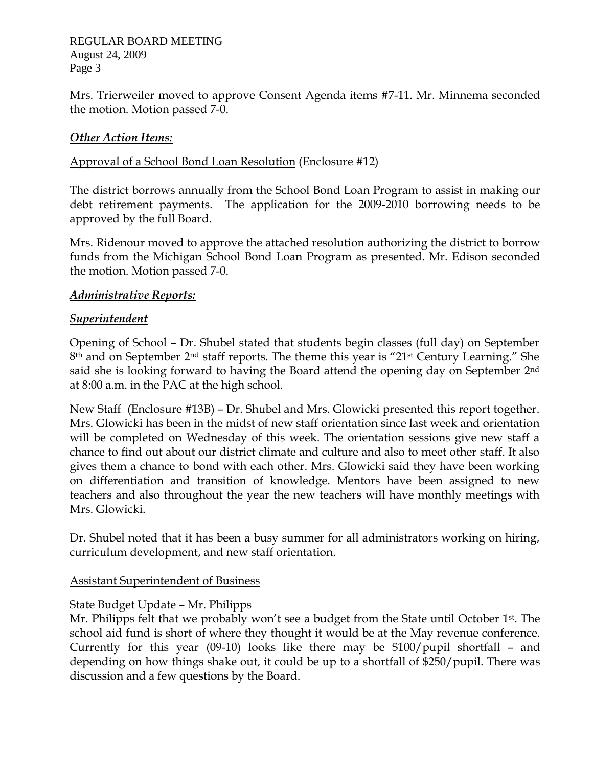REGULAR BOARD MEETING August 24, 2009 Page 3

Mrs. Trierweiler moved to approve Consent Agenda items #7-11. Mr. Minnema seconded the motion. Motion passed 7-0.

## *Other Action Items:*

#### Approval of a School Bond Loan Resolution (Enclosure #12)

The district borrows annually from the School Bond Loan Program to assist in making our debt retirement payments. The application for the 2009-2010 borrowing needs to be approved by the full Board.

Mrs. Ridenour moved to approve the attached resolution authorizing the district to borrow funds from the Michigan School Bond Loan Program as presented. Mr. Edison seconded the motion. Motion passed 7-0.

#### *Administrative Reports:*

## *Superintendent*

Opening of School – Dr. Shubel stated that students begin classes (full day) on September 8th and on September 2nd staff reports. The theme this year is "21st Century Learning." She said she is looking forward to having the Board attend the opening day on September 2nd at 8:00 a.m. in the PAC at the high school.

New Staff (Enclosure #13B) – Dr. Shubel and Mrs. Glowicki presented this report together. Mrs. Glowicki has been in the midst of new staff orientation since last week and orientation will be completed on Wednesday of this week. The orientation sessions give new staff a chance to find out about our district climate and culture and also to meet other staff. It also gives them a chance to bond with each other. Mrs. Glowicki said they have been working on differentiation and transition of knowledge. Mentors have been assigned to new teachers and also throughout the year the new teachers will have monthly meetings with Mrs. Glowicki.

Dr. Shubel noted that it has been a busy summer for all administrators working on hiring, curriculum development, and new staff orientation.

#### Assistant Superintendent of Business

# State Budget Update – Mr. Philipps

Mr. Philipps felt that we probably won't see a budget from the State until October 1<sup>st</sup>. The school aid fund is short of where they thought it would be at the May revenue conference. Currently for this year (09-10) looks like there may be \$100/pupil shortfall – and depending on how things shake out, it could be up to a shortfall of \$250/pupil. There was discussion and a few questions by the Board.